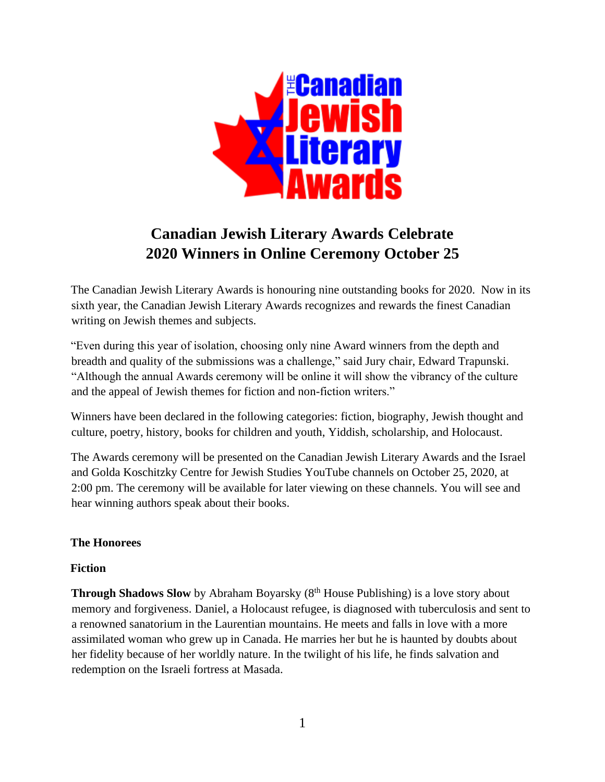

# **Canadian Jewish Literary Awards Celebrate 2020 Winners in Online Ceremony October 25**

The Canadian Jewish Literary Awards is honouring nine outstanding books for 2020. Now in its sixth year, the Canadian Jewish Literary Awards recognizes and rewards the finest Canadian writing on Jewish themes and subjects.

"Even during this year of isolation, choosing only nine Award winners from the depth and breadth and quality of the submissions was a challenge," said Jury chair, Edward Trapunski. "Although the annual Awards ceremony will be online it will show the vibrancy of the culture and the appeal of Jewish themes for fiction and non-fiction writers."

Winners have been declared in the following categories: fiction, biography, Jewish thought and culture, poetry, history, books for children and youth, Yiddish, scholarship, and Holocaust.

The Awards ceremony will be presented on the Canadian Jewish Literary Awards and the Israel and Golda Koschitzky Centre for Jewish Studies YouTube channels on October 25, 2020, at 2:00 pm. The ceremony will be available for later viewing on these channels. You will see and hear winning authors speak about their books.

# **The Honorees**

# **Fiction**

**Through Shadows Slow** by Abraham Boyarsky (8<sup>th</sup> House Publishing) is a love story about memory and forgiveness. Daniel, a Holocaust refugee, is diagnosed with tuberculosis and sent to a renowned sanatorium in the Laurentian mountains. He meets and falls in love with a more assimilated woman who grew up in Canada. He marries her but he is haunted by doubts about her fidelity because of her worldly nature. In the twilight of his life, he finds salvation and redemption on the Israeli fortress at Masada.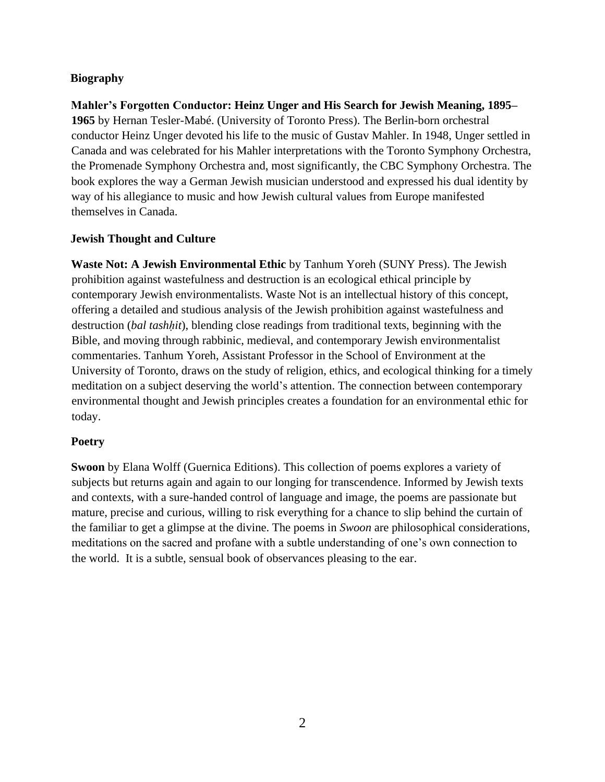# **Biography**

**Mahler's Forgotten Conductor: Heinz Unger and His Search for Jewish Meaning, 1895– 1965** by Hernan Tesler-Mabé. (University of Toronto Press). The Berlin-born orchestral conductor Heinz Unger devoted his life to the music of Gustav Mahler. In 1948, Unger settled in Canada and was celebrated for his Mahler interpretations with the Toronto Symphony Orchestra, the Promenade Symphony Orchestra and, most significantly, the CBC Symphony Orchestra. The book explores the way a German Jewish musician understood and expressed his dual identity by way of his allegiance to music and how Jewish cultural values from Europe manifested themselves in Canada.

# **Jewish Thought and Culture**

**Waste Not: A Jewish Environmental Ethic** by Tanhum Yoreh (SUNY Press). The Jewish prohibition against wastefulness and destruction is an ecological ethical principle by contemporary Jewish environmentalists. Waste Not is an intellectual history of this concept, offering a detailed and studious analysis of the Jewish prohibition against wastefulness and destruction (*bal tashḥit*), blending close readings from traditional texts, beginning with the Bible, and moving through rabbinic, medieval, and contemporary Jewish environmentalist commentaries. Tanhum Yoreh, Assistant Professor in the School of Environment at the University of Toronto, draws on the study of religion, ethics, and ecological thinking for a timely meditation on a subject deserving the world's attention. The connection between contemporary environmental thought and Jewish principles creates a foundation for an environmental ethic for today.

# **Poetry**

**Swoon** by Elana Wolff (Guernica Editions). This collection of poems explores a variety of subjects but returns again and again to our longing for transcendence. Informed by Jewish texts and contexts, with a sure-handed control of language and image, the poems are passionate but mature, precise and curious, willing to risk everything for a chance to slip behind the curtain of the familiar to get a glimpse at the divine. The poems in *Swoon* are philosophical considerations, meditations on the sacred and profane with a subtle understanding of one's own connection to the world. It is a subtle, sensual book of observances pleasing to the ear.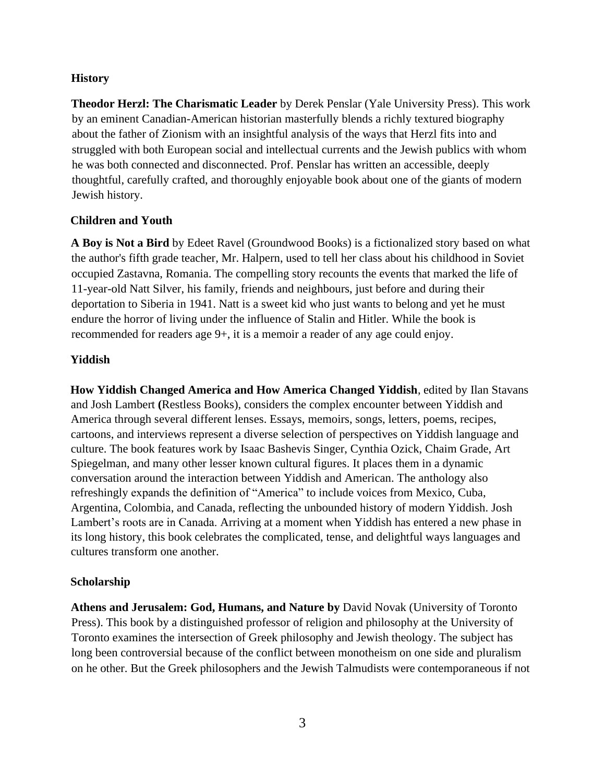#### **History**

**Theodor Herzl: The Charismatic Leader** by Derek Penslar (Yale University Press). This work by an eminent Canadian-American historian masterfully blends a richly textured biography about the father of Zionism with an insightful analysis of the ways that Herzl fits into and struggled with both European social and intellectual currents and the Jewish publics with whom he was both connected and disconnected. Prof. Penslar has written an accessible, deeply thoughtful, carefully crafted, and thoroughly enjoyable book about one of the giants of modern Jewish history.

#### **Children and Youth**

**A Boy is Not a Bird** by Edeet Ravel (Groundwood Books) is a fictionalized story based on what the author's fifth grade teacher, Mr. Halpern, used to tell her class about his childhood in Soviet occupied Zastavna, Romania. The compelling story recounts the events that marked the life of 11-year-old Natt Silver, his family, friends and neighbours, just before and during their deportation to Siberia in 1941. Natt is a sweet kid who just wants to belong and yet he must endure the horror of living under the influence of Stalin and Hitler. While the book is recommended for readers age 9+, it is a memoir a reader of any age could enjoy.

#### **Yiddish**

**How Yiddish Changed America and How America Changed Yiddish**, edited by Ilan Stavans and Josh Lambert **(**Restless Books), considers the complex encounter between Yiddish and America through several different lenses. Essays, memoirs, songs, letters, poems, recipes, cartoons, and interviews represent a diverse selection of perspectives on Yiddish language and culture. The book features work by Isaac Bashevis Singer, Cynthia Ozick, Chaim Grade, Art Spiegelman, and many other lesser known cultural figures. It places them in a dynamic conversation around the interaction between Yiddish and American. The anthology also refreshingly expands the definition of "America" to include voices from Mexico, Cuba, Argentina, Colombia, and Canada, reflecting the unbounded history of modern Yiddish. Josh Lambert's roots are in Canada. Arriving at a moment when Yiddish has entered a new phase in its long history, this book celebrates the complicated, tense, and delightful ways languages and cultures transform one another.

# **Scholarship**

**Athens and Jerusalem: God, Humans, and Nature by** David Novak (University of Toronto Press). This book by a distinguished professor of religion and philosophy at the University of Toronto examines the intersection of Greek philosophy and Jewish theology. The subject has long been controversial because of the conflict between monotheism on one side and pluralism on he other. But the Greek philosophers and the Jewish Talmudists were contemporaneous if not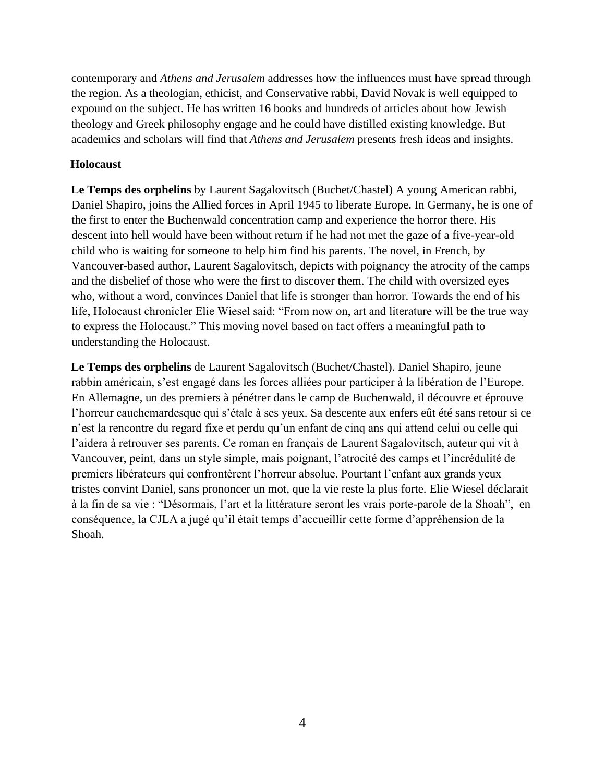contemporary and *Athens and Jerusalem* addresses how the influences must have spread through the region. As a theologian, ethicist, and Conservative rabbi, David Novak is well equipped to expound on the subject. He has written 16 books and hundreds of articles about how Jewish theology and Greek philosophy engage and he could have distilled existing knowledge. But academics and scholars will find that *Athens and Jerusalem* presents fresh ideas and insights.

#### **Holocaust**

**Le Temps des orphelins** by Laurent Sagalovitsch (Buchet/Chastel) A young American rabbi, Daniel Shapiro, joins the Allied forces in April 1945 to liberate Europe. In Germany, he is one of the first to enter the Buchenwald concentration camp and experience the horror there. His descent into hell would have been without return if he had not met the gaze of a five-year-old child who is waiting for someone to help him find his parents. The novel, in French, by Vancouver-based author, Laurent Sagalovitsch, depicts with poignancy the atrocity of the camps and the disbelief of those who were the first to discover them. The child with oversized eyes who, without a word, convinces Daniel that life is stronger than horror. Towards the end of his life, Holocaust chronicler Elie Wiesel said: "From now on, art and literature will be the true way to express the Holocaust." This moving novel based on fact offers a meaningful path to understanding the Holocaust.

**Le Temps des orphelins** de Laurent Sagalovitsch (Buchet/Chastel). Daniel Shapiro, jeune rabbin américain, s'est engagé dans les forces alliées pour participer à la libération de l'Europe. En Allemagne, un des premiers à pénétrer dans le camp de Buchenwald, il découvre et éprouve l'horreur cauchemardesque qui s'étale à ses yeux. Sa descente aux enfers eût été sans retour si ce n'est la rencontre du regard fixe et perdu qu'un enfant de cinq ans qui attend celui ou celle qui l'aidera à retrouver ses parents. Ce roman en français de Laurent Sagalovitsch, auteur qui vit à Vancouver, peint, dans un style simple, mais poignant, l'atrocité des camps et l'incrédulité de premiers libérateurs qui confrontèrent l'horreur absolue. Pourtant l'enfant aux grands yeux tristes convint Daniel, sans prononcer un mot, que la vie reste la plus forte. Elie Wiesel déclarait à la fin de sa vie : "Désormais, l'art et la littérature seront les vrais porte-parole de la Shoah", en conséquence, la CJLA a jugé qu'il était temps d'accueillir cette forme d'appréhension de la Shoah.